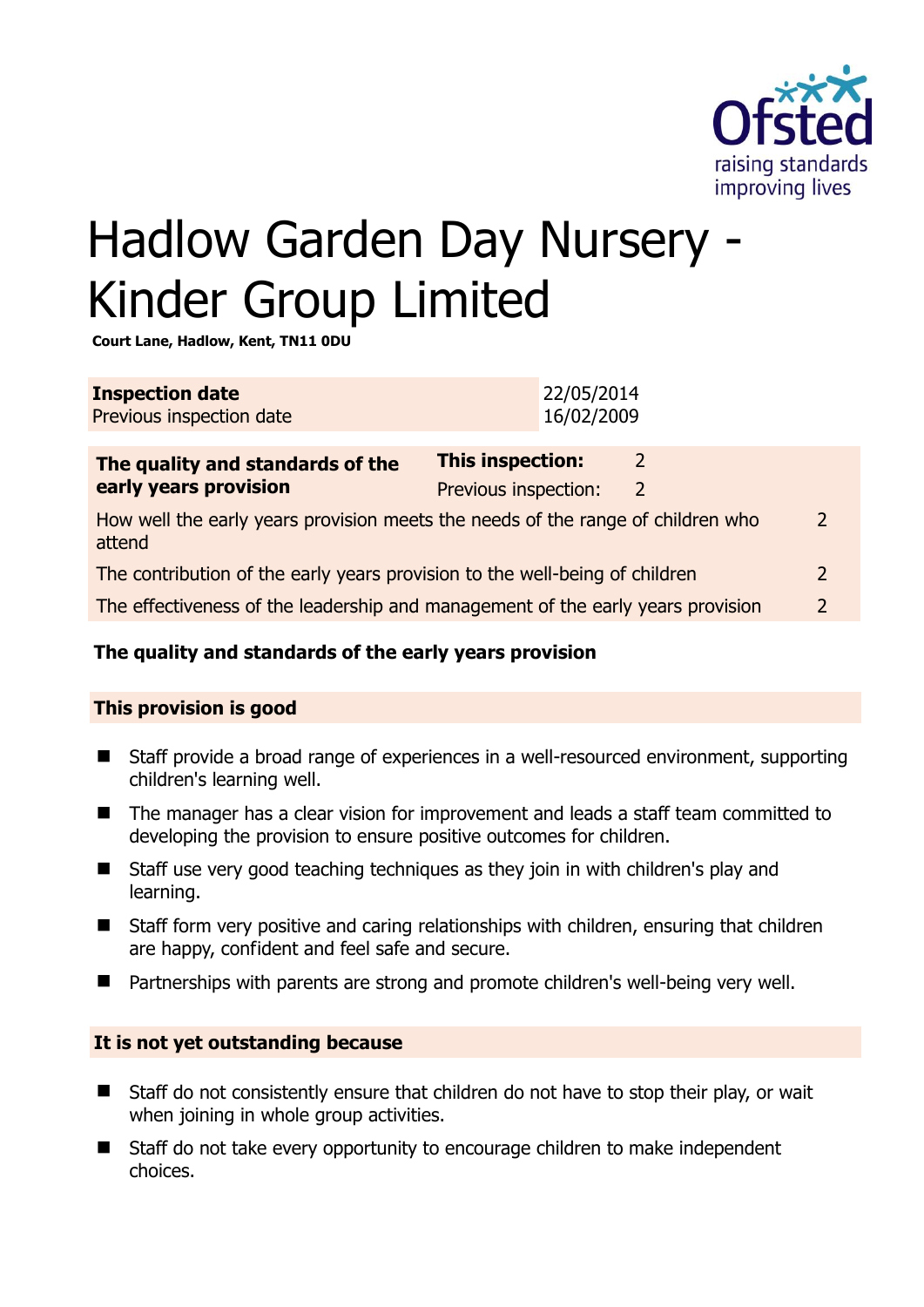

# Hadlow Garden Day Nursery - Kinder Group Limited

**Court Lane, Hadlow, Kent, TN11 0DU** 

| <b>Inspection date</b><br>Previous inspection date                                        | 22/05/2014<br>16/02/2009                        |                                  |                          |
|-------------------------------------------------------------------------------------------|-------------------------------------------------|----------------------------------|--------------------------|
| The quality and standards of the<br>early years provision                                 | <b>This inspection:</b><br>Previous inspection: | $\overline{2}$<br>$\overline{2}$ |                          |
| How well the early years provision meets the needs of the range of children who<br>attend |                                                 |                                  | $\overline{\phantom{a}}$ |
| The contribution of the early years provision to the well-being of children               |                                                 |                                  | $\overline{2}$           |
| The effectiveness of the leadership and management of the early years provision           |                                                 |                                  | $\overline{2}$           |
|                                                                                           |                                                 |                                  |                          |

# **The quality and standards of the early years provision**

#### **This provision is good**

- Staff provide a broad range of experiences in a well-resourced environment, supporting children's learning well.
- The manager has a clear vision for improvement and leads a staff team committed to developing the provision to ensure positive outcomes for children.
- Staff use very good teaching techniques as they join in with children's play and learning.
- Staff form very positive and caring relationships with children, ensuring that children are happy, confident and feel safe and secure.
- Partnerships with parents are strong and promote children's well-being very well.

#### **It is not yet outstanding because**

- Staff do not consistently ensure that children do not have to stop their play, or wait when joining in whole group activities.
- Staff do not take every opportunity to encourage children to make independent choices.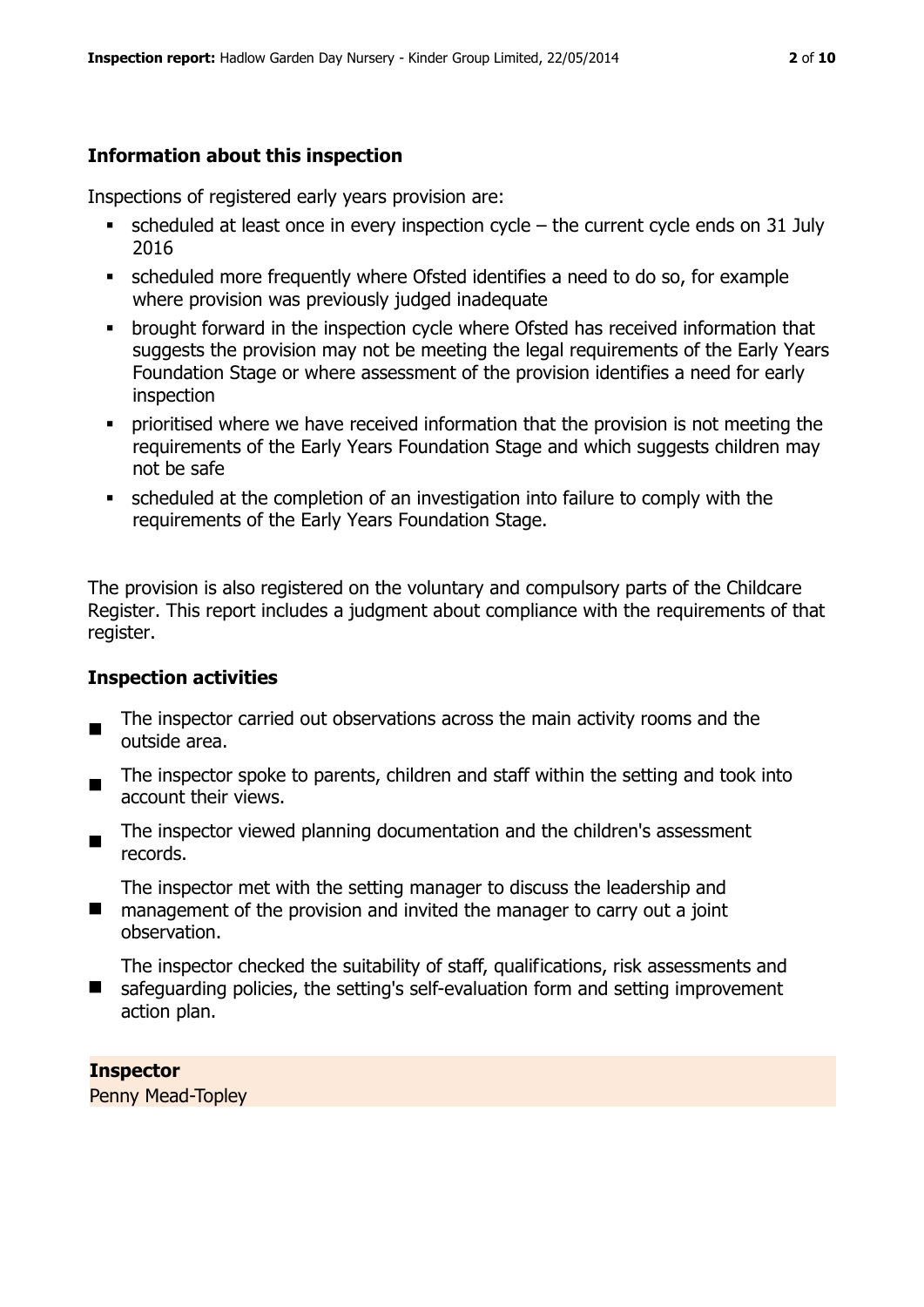## **Information about this inspection**

Inspections of registered early years provision are:

- $\blacksquare$  scheduled at least once in every inspection cycle the current cycle ends on 31 July 2016
- scheduled more frequently where Ofsted identifies a need to do so, for example where provision was previously judged inadequate
- **•** brought forward in the inspection cycle where Ofsted has received information that suggests the provision may not be meeting the legal requirements of the Early Years Foundation Stage or where assessment of the provision identifies a need for early inspection
- **•** prioritised where we have received information that the provision is not meeting the requirements of the Early Years Foundation Stage and which suggests children may not be safe
- scheduled at the completion of an investigation into failure to comply with the requirements of the Early Years Foundation Stage.

The provision is also registered on the voluntary and compulsory parts of the Childcare Register. This report includes a judgment about compliance with the requirements of that register.

#### **Inspection activities**

- $\blacksquare$ The inspector carried out observations across the main activity rooms and the outside area.
- The inspector spoke to parents, children and staff within the setting and took into account their views.
- The inspector viewed planning documentation and the children's assessment records.

The inspector met with the setting manager to discuss the leadership and

- $\blacksquare$ management of the provision and invited the manager to carry out a joint observation.
- **Contract** The inspector checked the suitability of staff, qualifications, risk assessments and safeguarding policies, the setting's self-evaluation form and setting improvement action plan.

#### **Inspector**

Penny Mead-Topley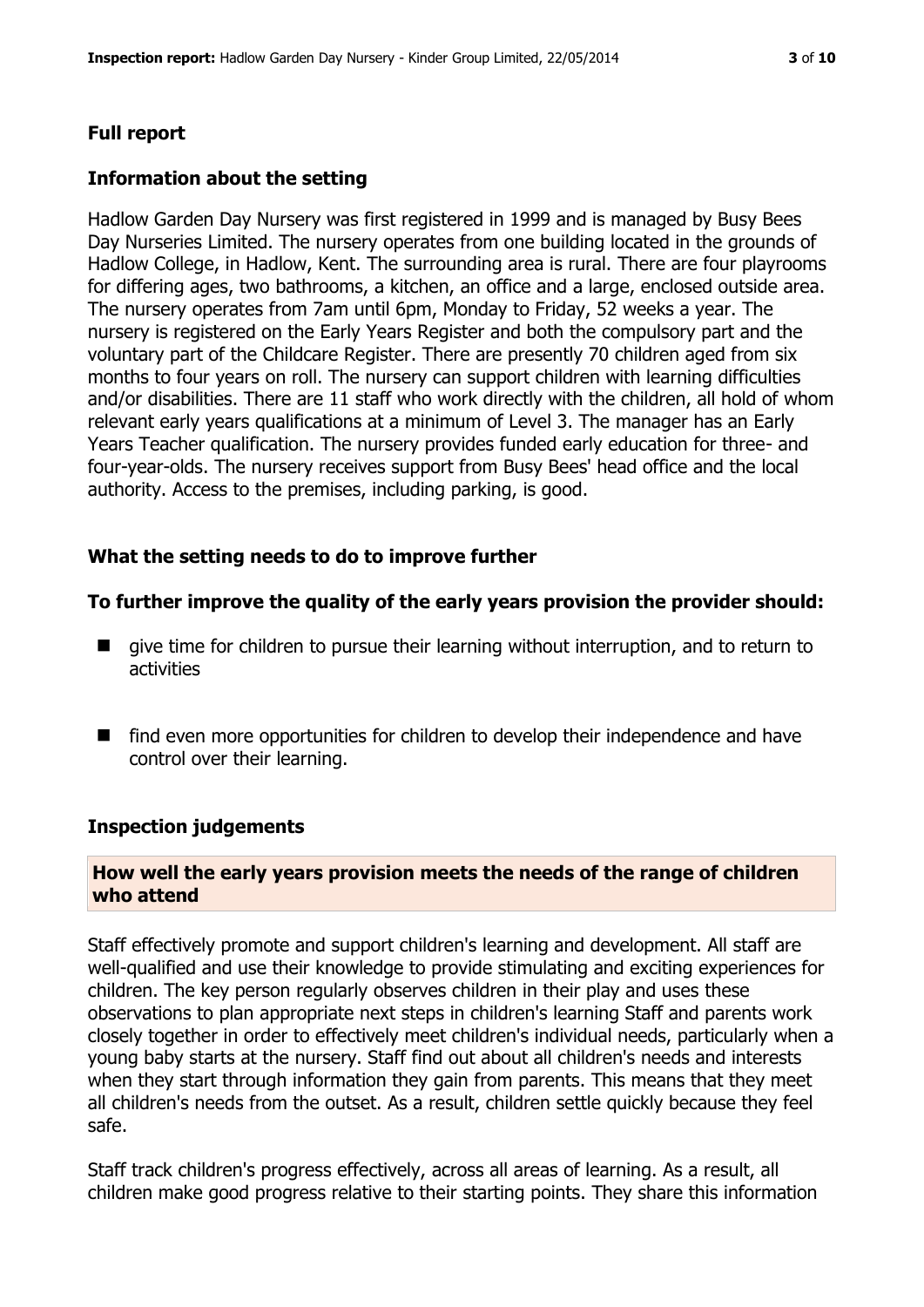#### **Full report**

#### **Information about the setting**

Hadlow Garden Day Nursery was first registered in 1999 and is managed by Busy Bees Day Nurseries Limited. The nursery operates from one building located in the grounds of Hadlow College, in Hadlow, Kent. The surrounding area is rural. There are four playrooms for differing ages, two bathrooms, a kitchen, an office and a large, enclosed outside area. The nursery operates from 7am until 6pm, Monday to Friday, 52 weeks a year. The nursery is registered on the Early Years Register and both the compulsory part and the voluntary part of the Childcare Register. There are presently 70 children aged from six months to four years on roll. The nursery can support children with learning difficulties and/or disabilities. There are 11 staff who work directly with the children, all hold of whom relevant early years qualifications at a minimum of Level 3. The manager has an Early Years Teacher qualification. The nursery provides funded early education for three- and four-year-olds. The nursery receives support from Busy Bees' head office and the local authority. Access to the premises, including parking, is good.

#### **What the setting needs to do to improve further**

#### **To further improve the quality of the early years provision the provider should:**

- $\blacksquare$  give time for children to pursue their learning without interruption, and to return to activities
- find even more opportunities for children to develop their independence and have control over their learning.

#### **Inspection judgements**

#### **How well the early years provision meets the needs of the range of children who attend**

Staff effectively promote and support children's learning and development. All staff are well-qualified and use their knowledge to provide stimulating and exciting experiences for children. The key person regularly observes children in their play and uses these observations to plan appropriate next steps in children's learning Staff and parents work closely together in order to effectively meet children's individual needs, particularly when a young baby starts at the nursery. Staff find out about all children's needs and interests when they start through information they gain from parents. This means that they meet all children's needs from the outset. As a result, children settle quickly because they feel safe.

Staff track children's progress effectively, across all areas of learning. As a result, all children make good progress relative to their starting points. They share this information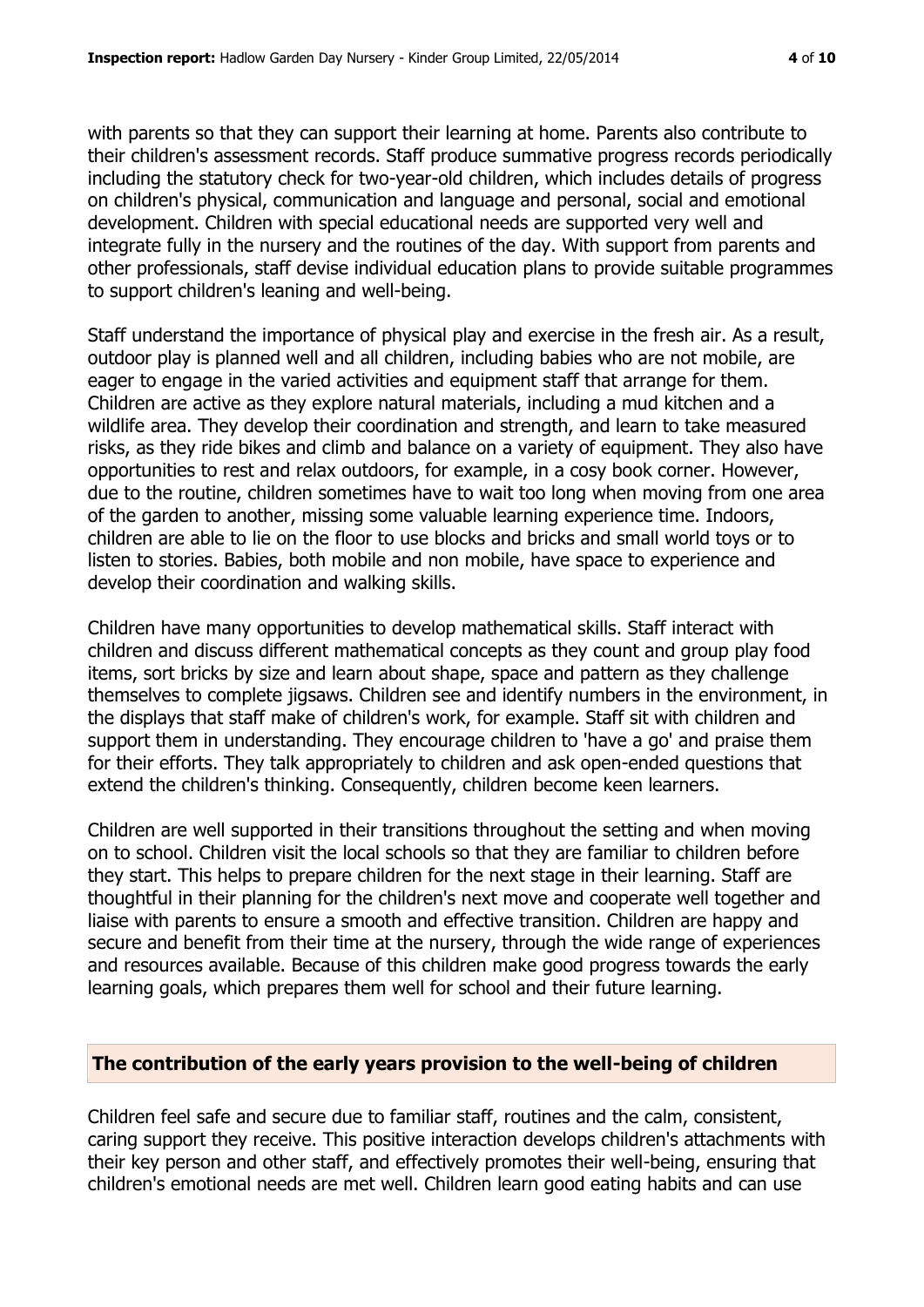with parents so that they can support their learning at home. Parents also contribute to their children's assessment records. Staff produce summative progress records periodically including the statutory check for two-year-old children, which includes details of progress on children's physical, communication and language and personal, social and emotional development. Children with special educational needs are supported very well and integrate fully in the nursery and the routines of the day. With support from parents and other professionals, staff devise individual education plans to provide suitable programmes to support children's leaning and well-being.

Staff understand the importance of physical play and exercise in the fresh air. As a result, outdoor play is planned well and all children, including babies who are not mobile, are eager to engage in the varied activities and equipment staff that arrange for them. Children are active as they explore natural materials, including a mud kitchen and a wildlife area. They develop their coordination and strength, and learn to take measured risks, as they ride bikes and climb and balance on a variety of equipment. They also have opportunities to rest and relax outdoors, for example, in a cosy book corner. However, due to the routine, children sometimes have to wait too long when moving from one area of the garden to another, missing some valuable learning experience time. Indoors, children are able to lie on the floor to use blocks and bricks and small world toys or to listen to stories. Babies, both mobile and non mobile, have space to experience and develop their coordination and walking skills.

Children have many opportunities to develop mathematical skills. Staff interact with children and discuss different mathematical concepts as they count and group play food items, sort bricks by size and learn about shape, space and pattern as they challenge themselves to complete jigsaws. Children see and identify numbers in the environment, in the displays that staff make of children's work, for example. Staff sit with children and support them in understanding. They encourage children to 'have a go' and praise them for their efforts. They talk appropriately to children and ask open-ended questions that extend the children's thinking. Consequently, children become keen learners.

Children are well supported in their transitions throughout the setting and when moving on to school. Children visit the local schools so that they are familiar to children before they start. This helps to prepare children for the next stage in their learning. Staff are thoughtful in their planning for the children's next move and cooperate well together and liaise with parents to ensure a smooth and effective transition. Children are happy and secure and benefit from their time at the nursery, through the wide range of experiences and resources available. Because of this children make good progress towards the early learning goals, which prepares them well for school and their future learning.

# **The contribution of the early years provision to the well-being of children**

Children feel safe and secure due to familiar staff, routines and the calm, consistent, caring support they receive. This positive interaction develops children's attachments with their key person and other staff, and effectively promotes their well-being, ensuring that children's emotional needs are met well. Children learn good eating habits and can use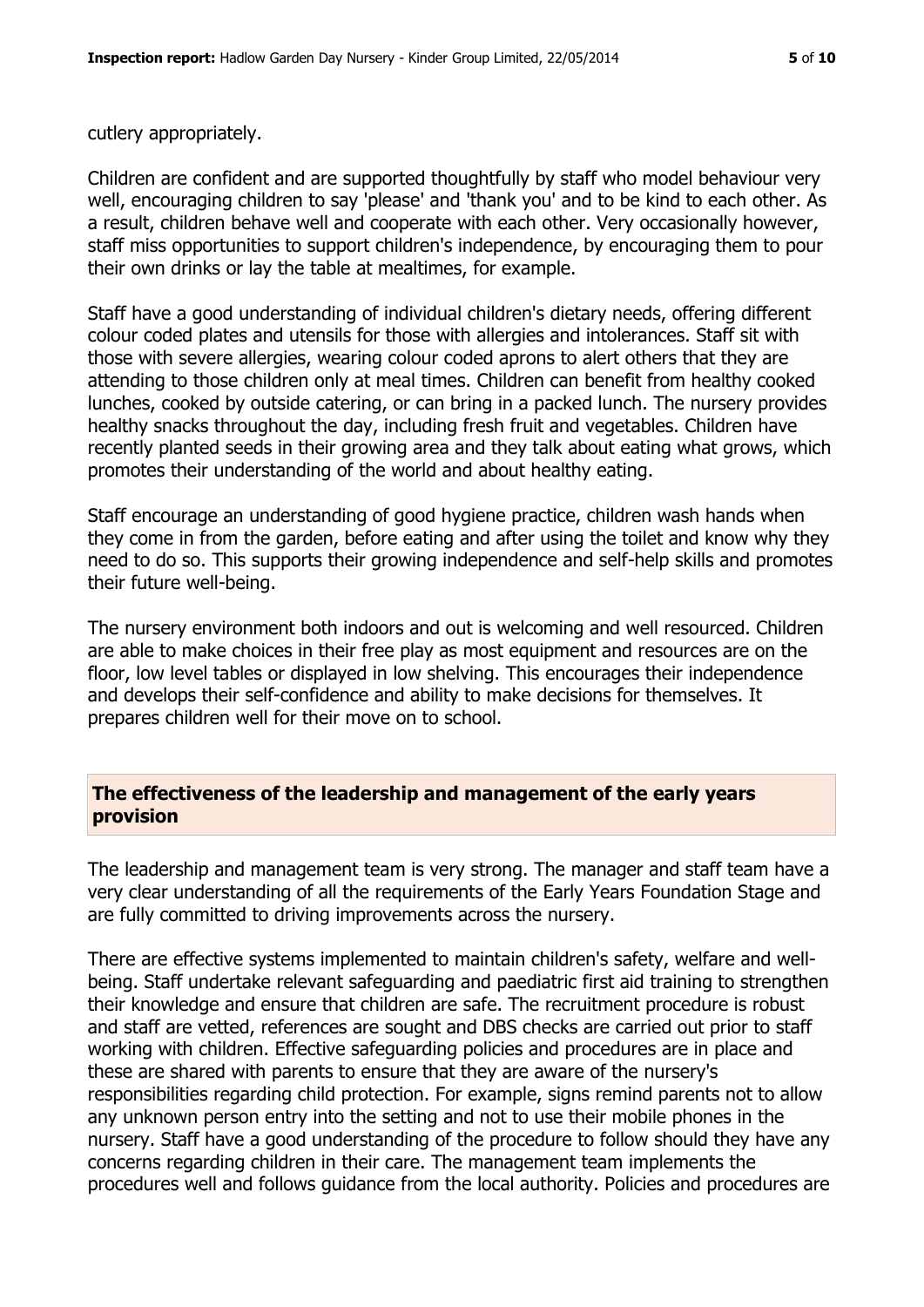cutlery appropriately.

Children are confident and are supported thoughtfully by staff who model behaviour very well, encouraging children to say 'please' and 'thank you' and to be kind to each other. As a result, children behave well and cooperate with each other. Very occasionally however, staff miss opportunities to support children's independence, by encouraging them to pour their own drinks or lay the table at mealtimes, for example.

Staff have a good understanding of individual children's dietary needs, offering different colour coded plates and utensils for those with allergies and intolerances. Staff sit with those with severe allergies, wearing colour coded aprons to alert others that they are attending to those children only at meal times. Children can benefit from healthy cooked lunches, cooked by outside catering, or can bring in a packed lunch. The nursery provides healthy snacks throughout the day, including fresh fruit and vegetables. Children have recently planted seeds in their growing area and they talk about eating what grows, which promotes their understanding of the world and about healthy eating.

Staff encourage an understanding of good hygiene practice, children wash hands when they come in from the garden, before eating and after using the toilet and know why they need to do so. This supports their growing independence and self-help skills and promotes their future well-being.

The nursery environment both indoors and out is welcoming and well resourced. Children are able to make choices in their free play as most equipment and resources are on the floor, low level tables or displayed in low shelving. This encourages their independence and develops their self-confidence and ability to make decisions for themselves. It prepares children well for their move on to school.

### **The effectiveness of the leadership and management of the early years provision**

The leadership and management team is very strong. The manager and staff team have a very clear understanding of all the requirements of the Early Years Foundation Stage and are fully committed to driving improvements across the nursery.

There are effective systems implemented to maintain children's safety, welfare and wellbeing. Staff undertake relevant safeguarding and paediatric first aid training to strengthen their knowledge and ensure that children are safe. The recruitment procedure is robust and staff are vetted, references are sought and DBS checks are carried out prior to staff working with children. Effective safeguarding policies and procedures are in place and these are shared with parents to ensure that they are aware of the nursery's responsibilities regarding child protection. For example, signs remind parents not to allow any unknown person entry into the setting and not to use their mobile phones in the nursery. Staff have a good understanding of the procedure to follow should they have any concerns regarding children in their care. The management team implements the procedures well and follows guidance from the local authority. Policies and procedures are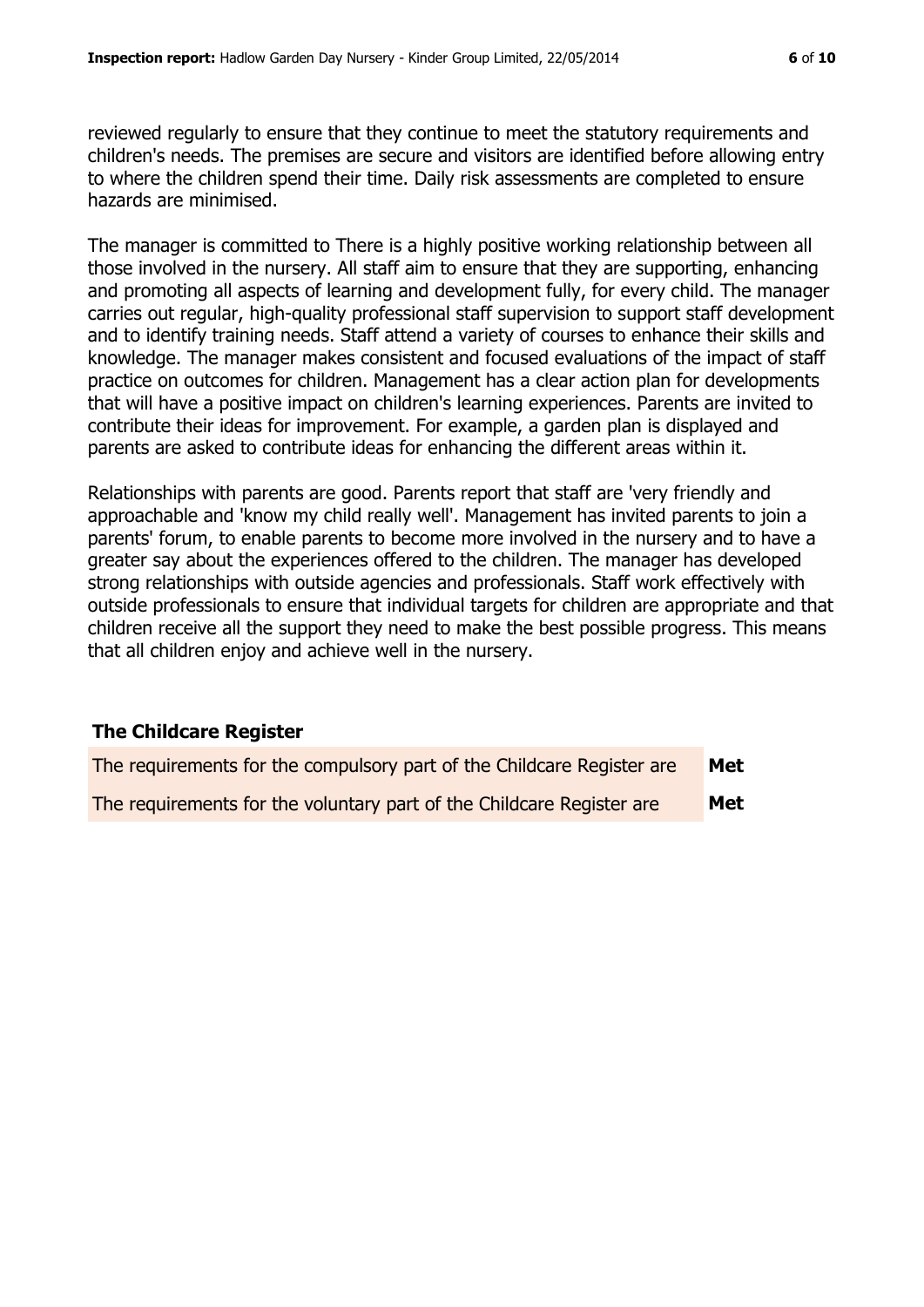reviewed regularly to ensure that they continue to meet the statutory requirements and children's needs. The premises are secure and visitors are identified before allowing entry to where the children spend their time. Daily risk assessments are completed to ensure hazards are minimised.

The manager is committed to There is a highly positive working relationship between all those involved in the nursery. All staff aim to ensure that they are supporting, enhancing and promoting all aspects of learning and development fully, for every child. The manager carries out regular, high-quality professional staff supervision to support staff development and to identify training needs. Staff attend a variety of courses to enhance their skills and knowledge. The manager makes consistent and focused evaluations of the impact of staff practice on outcomes for children. Management has a clear action plan for developments that will have a positive impact on children's learning experiences. Parents are invited to contribute their ideas for improvement. For example, a garden plan is displayed and parents are asked to contribute ideas for enhancing the different areas within it.

Relationships with parents are good. Parents report that staff are 'very friendly and approachable and 'know my child really well'. Management has invited parents to join a parents' forum, to enable parents to become more involved in the nursery and to have a greater say about the experiences offered to the children. The manager has developed strong relationships with outside agencies and professionals. Staff work effectively with outside professionals to ensure that individual targets for children are appropriate and that children receive all the support they need to make the best possible progress. This means that all children enjoy and achieve well in the nursery.

#### **The Childcare Register**

| The requirements for the compulsory part of the Childcare Register are | Met |
|------------------------------------------------------------------------|-----|
| The requirements for the voluntary part of the Childcare Register are  | Met |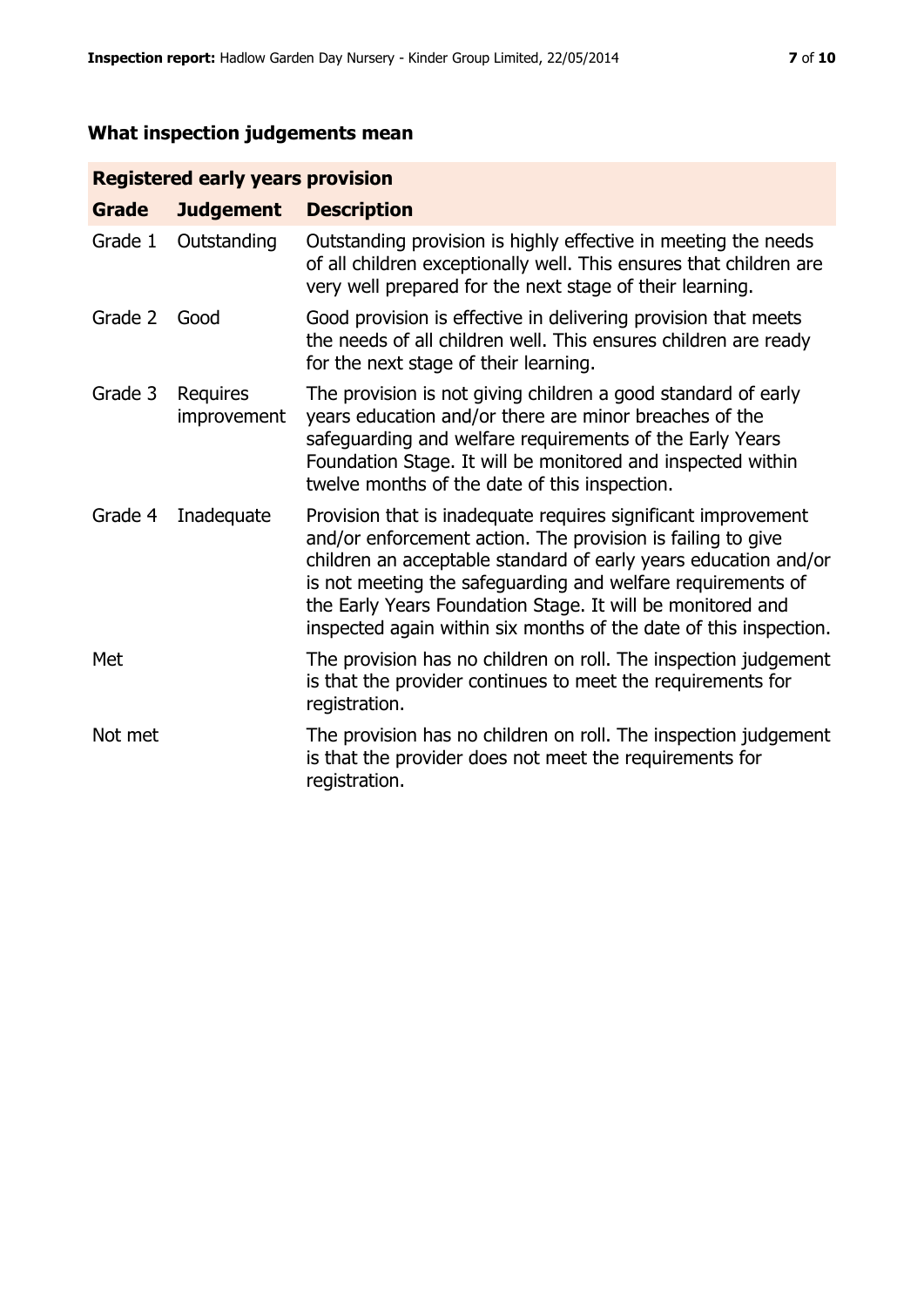# **What inspection judgements mean**

# **Registered early years provision**

| <b>Grade</b> | <b>Judgement</b>        | <b>Description</b>                                                                                                                                                                                                                                                                                                                                                                                |
|--------------|-------------------------|---------------------------------------------------------------------------------------------------------------------------------------------------------------------------------------------------------------------------------------------------------------------------------------------------------------------------------------------------------------------------------------------------|
| Grade 1      | Outstanding             | Outstanding provision is highly effective in meeting the needs<br>of all children exceptionally well. This ensures that children are<br>very well prepared for the next stage of their learning.                                                                                                                                                                                                  |
| Grade 2      | Good                    | Good provision is effective in delivering provision that meets<br>the needs of all children well. This ensures children are ready<br>for the next stage of their learning.                                                                                                                                                                                                                        |
| Grade 3      | Requires<br>improvement | The provision is not giving children a good standard of early<br>years education and/or there are minor breaches of the<br>safeguarding and welfare requirements of the Early Years<br>Foundation Stage. It will be monitored and inspected within<br>twelve months of the date of this inspection.                                                                                               |
| Grade 4      | Inadequate              | Provision that is inadequate requires significant improvement<br>and/or enforcement action. The provision is failing to give<br>children an acceptable standard of early years education and/or<br>is not meeting the safeguarding and welfare requirements of<br>the Early Years Foundation Stage. It will be monitored and<br>inspected again within six months of the date of this inspection. |
| Met          |                         | The provision has no children on roll. The inspection judgement<br>is that the provider continues to meet the requirements for<br>registration.                                                                                                                                                                                                                                                   |
| Not met      |                         | The provision has no children on roll. The inspection judgement<br>is that the provider does not meet the requirements for<br>registration.                                                                                                                                                                                                                                                       |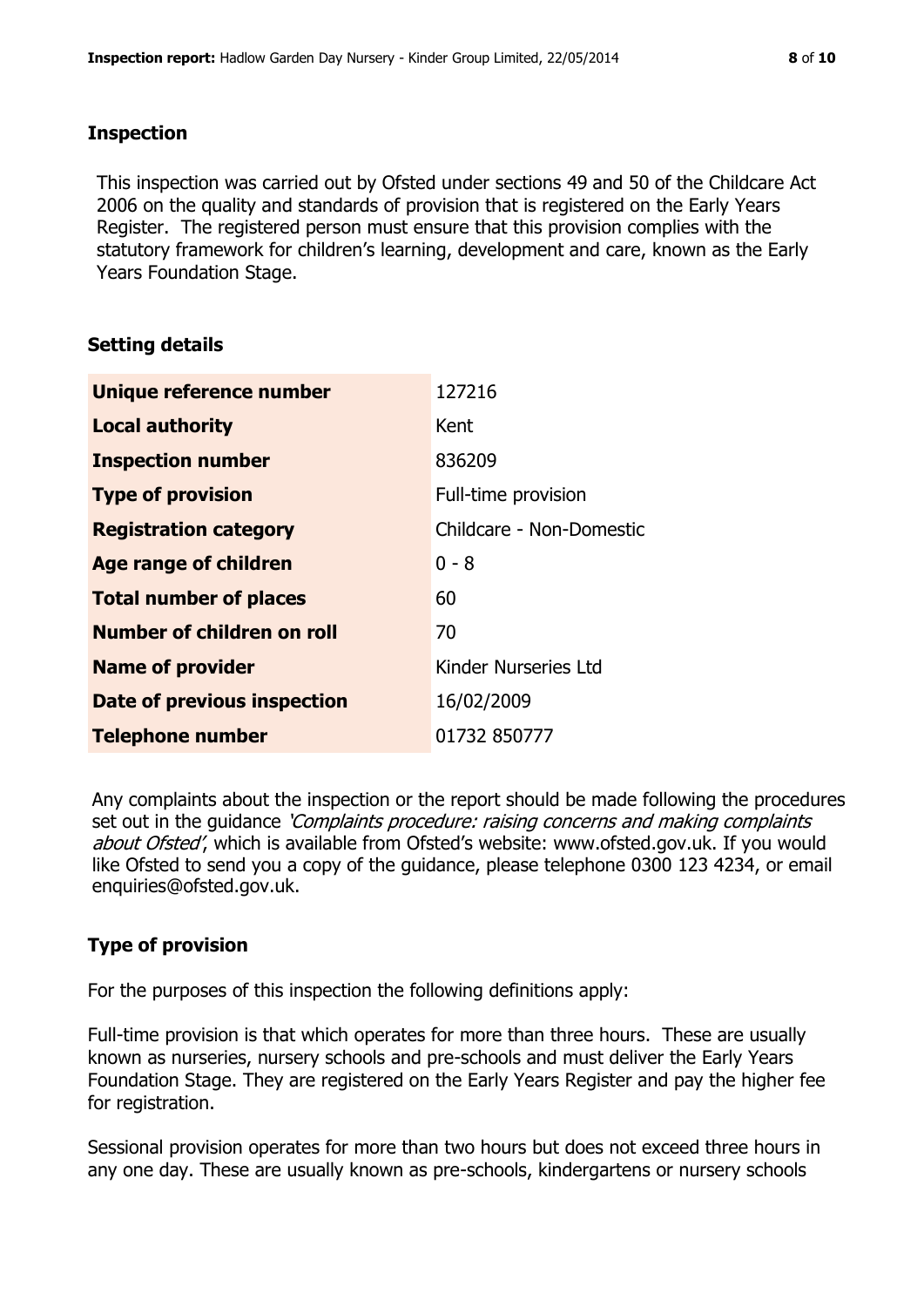#### **Inspection**

This inspection was carried out by Ofsted under sections 49 and 50 of the Childcare Act 2006 on the quality and standards of provision that is registered on the Early Years Register. The registered person must ensure that this provision complies with the statutory framework for children's learning, development and care, known as the Early Years Foundation Stage.

# **Setting details**

| Unique reference number       | 127216                   |
|-------------------------------|--------------------------|
| <b>Local authority</b>        | Kent                     |
| <b>Inspection number</b>      | 836209                   |
| <b>Type of provision</b>      | Full-time provision      |
| <b>Registration category</b>  | Childcare - Non-Domestic |
| <b>Age range of children</b>  | $0 - 8$                  |
| <b>Total number of places</b> | 60                       |
| Number of children on roll    | 70                       |
| <b>Name of provider</b>       | Kinder Nurseries Ltd     |
| Date of previous inspection   | 16/02/2009               |
| <b>Telephone number</b>       | 01732 850777             |

Any complaints about the inspection or the report should be made following the procedures set out in the guidance *'Complaints procedure: raising concerns and making complaints* about Ofsted', which is available from Ofsted's website: www.ofsted.gov.uk. If you would like Ofsted to send you a copy of the guidance, please telephone 0300 123 4234, or email enquiries@ofsted.gov.uk.

# **Type of provision**

For the purposes of this inspection the following definitions apply:

Full-time provision is that which operates for more than three hours. These are usually known as nurseries, nursery schools and pre-schools and must deliver the Early Years Foundation Stage. They are registered on the Early Years Register and pay the higher fee for registration.

Sessional provision operates for more than two hours but does not exceed three hours in any one day. These are usually known as pre-schools, kindergartens or nursery schools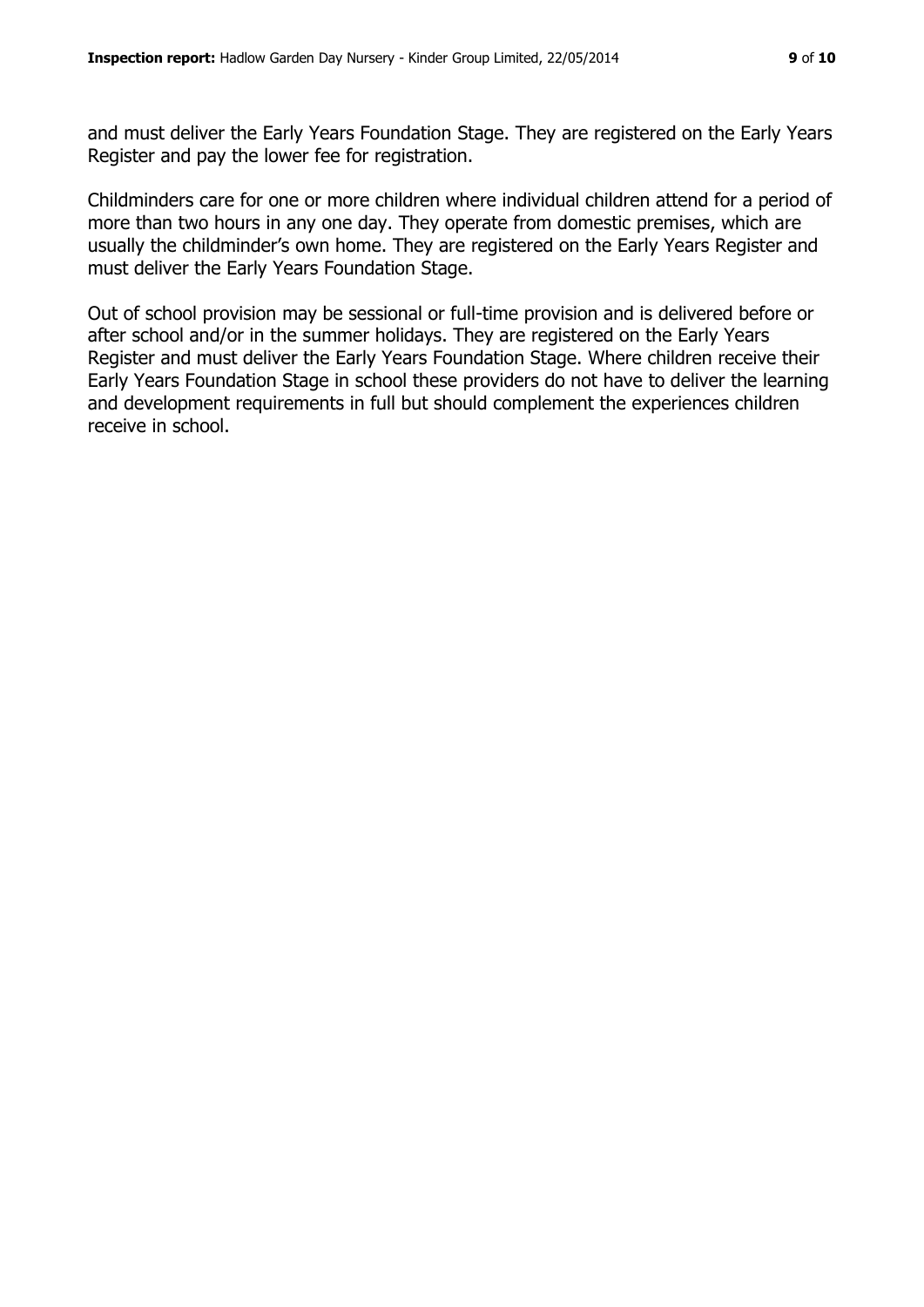and must deliver the Early Years Foundation Stage. They are registered on the Early Years Register and pay the lower fee for registration.

Childminders care for one or more children where individual children attend for a period of more than two hours in any one day. They operate from domestic premises, which are usually the childminder's own home. They are registered on the Early Years Register and must deliver the Early Years Foundation Stage.

Out of school provision may be sessional or full-time provision and is delivered before or after school and/or in the summer holidays. They are registered on the Early Years Register and must deliver the Early Years Foundation Stage. Where children receive their Early Years Foundation Stage in school these providers do not have to deliver the learning and development requirements in full but should complement the experiences children receive in school.